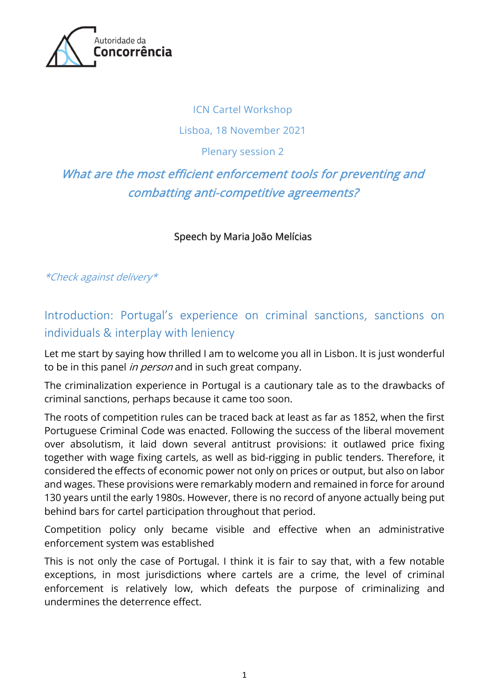

#### ICN Cartel Workshop

### Lisboa, 18 November 2021

### Plenary session 2

# What are the most efficient enforcement tools for preventing and combatting anti-competitive agreements?

Speech by Maria João Melícias

\*Check against delivery\*

Introduction: Portugal's experience on criminal sanctions, sanctions on individuals & interplay with leniency

Let me start by saying how thrilled I am to welcome you all in Lisbon. It is just wonderful to be in this panel in person and in such great company.

The criminalization experience in Portugal is a cautionary tale as to the drawbacks of criminal sanctions, perhaps because it came too soon.

The roots of competition rules can be traced back at least as far as 1852, when the first Portuguese Criminal Code was enacted. Following the success of the liberal movement over absolutism, it laid down several antitrust provisions: it outlawed price fixing together with wage fixing cartels, as well as bid-rigging in public tenders. Therefore, it considered the effects of economic power not only on prices or output, but also on labor and wages. These provisions were remarkably modern and remained in force for around 130 years until the early 1980s. However, there is no record of anyone actually being put behind bars for cartel participation throughout that period.

Competition policy only became visible and effective when an administrative enforcement system was established

This is not only the case of Portugal. I think it is fair to say that, with a few notable exceptions, in most jurisdictions where cartels are a crime, the level of criminal enforcement is relatively low, which defeats the purpose of criminalizing and undermines the deterrence effect.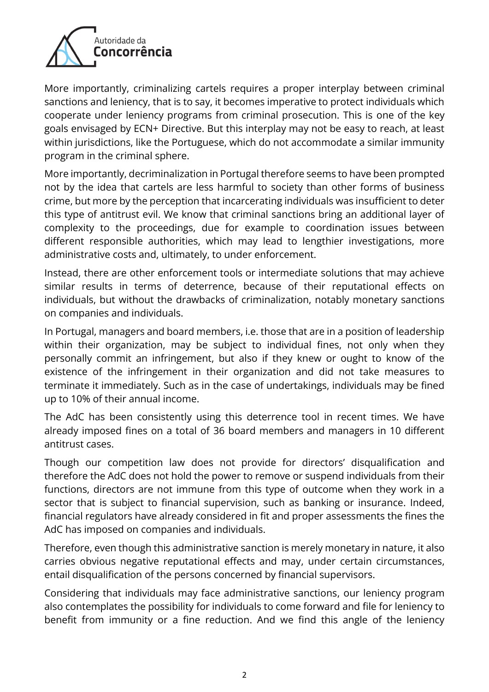

More importantly, criminalizing cartels requires a proper interplay between criminal sanctions and leniency, that is to say, it becomes imperative to protect individuals which cooperate under leniency programs from criminal prosecution. This is one of the key goals envisaged by ECN+ Directive. But this interplay may not be easy to reach, at least within jurisdictions, like the Portuguese, which do not accommodate a similar immunity program in the criminal sphere.

More importantly, decriminalization in Portugal therefore seems to have been prompted not by the idea that cartels are less harmful to society than other forms of business crime, but more by the perception that incarcerating individuals was insufficient to deter this type of antitrust evil. We know that criminal sanctions bring an additional layer of complexity to the proceedings, due for example to coordination issues between different responsible authorities, which may lead to lengthier investigations, more administrative costs and, ultimately, to under enforcement.

Instead, there are other enforcement tools or intermediate solutions that may achieve similar results in terms of deterrence, because of their reputational effects on individuals, but without the drawbacks of criminalization, notably monetary sanctions on companies and individuals.

In Portugal, managers and board members, i.e. those that are in a position of leadership within their organization, may be subject to individual fines, not only when they personally commit an infringement, but also if they knew or ought to know of the existence of the infringement in their organization and did not take measures to terminate it immediately. Such as in the case of undertakings, individuals may be fined up to 10% of their annual income.

The AdC has been consistently using this deterrence tool in recent times. We have already imposed fines on a total of 36 board members and managers in 10 different antitrust cases.

Though our competition law does not provide for directors' disqualification and therefore the AdC does not hold the power to remove or suspend individuals from their functions, directors are not immune from this type of outcome when they work in a sector that is subject to financial supervision, such as banking or insurance. Indeed, financial regulators have already considered in fit and proper assessments the fines the AdC has imposed on companies and individuals.

Therefore, even though this administrative sanction is merely monetary in nature, it also carries obvious negative reputational effects and may, under certain circumstances, entail disqualification of the persons concerned by financial supervisors.

Considering that individuals may face administrative sanctions, our leniency program also contemplates the possibility for individuals to come forward and file for leniency to benefit from immunity or a fine reduction. And we find this angle of the leniency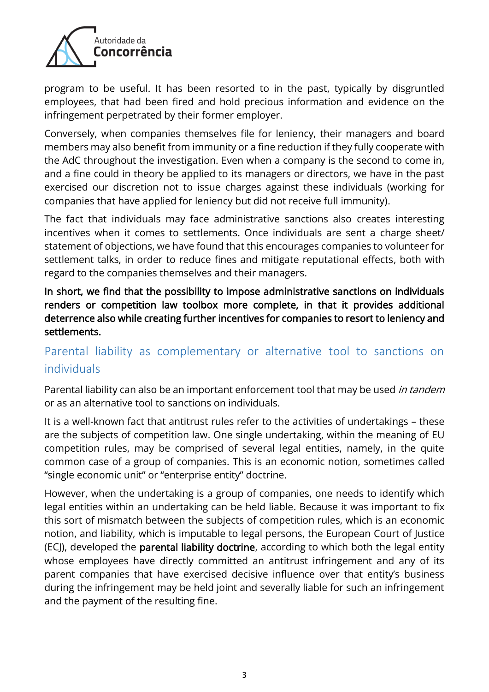

program to be useful. It has been resorted to in the past, typically by disgruntled employees, that had been fired and hold precious information and evidence on the infringement perpetrated by their former employer.

Conversely, when companies themselves file for leniency, their managers and board members may also benefit from immunity or a fine reduction if they fully cooperate with the AdC throughout the investigation. Even when a company is the second to come in, and a fine could in theory be applied to its managers or directors, we have in the past exercised our discretion not to issue charges against these individuals (working for companies that have applied for leniency but did not receive full immunity).

The fact that individuals may face administrative sanctions also creates interesting incentives when it comes to settlements. Once individuals are sent a charge sheet/ statement of objections, we have found that this encourages companies to volunteer for settlement talks, in order to reduce fines and mitigate reputational effects, both with regard to the companies themselves and their managers.

In short, we find that the possibility to impose administrative sanctions on individuals renders or competition law toolbox more complete, in that it provides additional deterrence also while creating further incentives for companies to resort to leniency and settlements.

## Parental liability as complementary or alternative tool to sanctions on individuals

Parental liability can also be an important enforcement tool that may be used in tandem or as an alternative tool to sanctions on individuals.

It is a well-known fact that antitrust rules refer to the activities of undertakings – these are the subjects of competition law. One single undertaking, within the meaning of EU competition rules, may be comprised of several legal entities, namely, in the quite common case of a group of companies. This is an economic notion, sometimes called "single economic unit" or "enterprise entity" doctrine.

However, when the undertaking is a group of companies, one needs to identify which legal entities within an undertaking can be held liable. Because it was important to fix this sort of mismatch between the subjects of competition rules, which is an economic notion, and liability, which is imputable to legal persons, the European Court of Justice (ECJ), developed the parental liability doctrine, according to which both the legal entity whose employees have directly committed an antitrust infringement and any of its parent companies that have exercised decisive influence over that entity's business during the infringement may be held joint and severally liable for such an infringement and the payment of the resulting fine.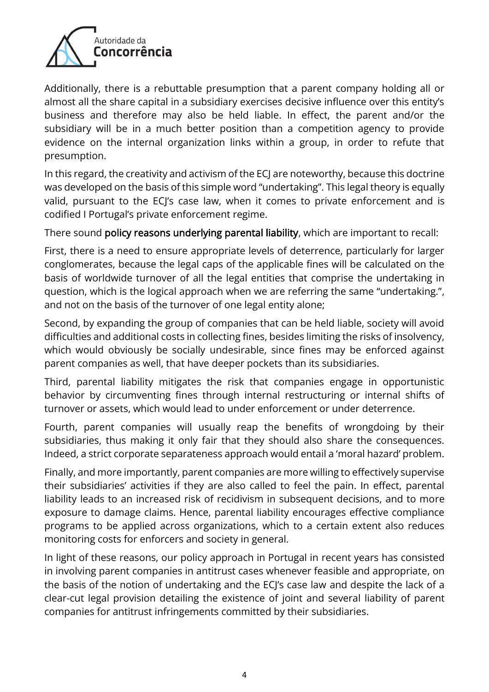

Additionally, there is a rebuttable presumption that a parent company holding all or almost all the share capital in a subsidiary exercises decisive influence over this entity's business and therefore may also be held liable. In effect, the parent and/or the subsidiary will be in a much better position than a competition agency to provide evidence on the internal organization links within a group, in order to refute that presumption.

In this regard, the creativity and activism of the ECJ are noteworthy, because this doctrine was developed on the basis of this simple word "undertaking". This legal theory is equally valid, pursuant to the ECJ's case law, when it comes to private enforcement and is codified I Portugal's private enforcement regime.

There sound policy reasons underlying parental liability, which are important to recall:

First, there is a need to ensure appropriate levels of deterrence, particularly for larger conglomerates, because the legal caps of the applicable fines will be calculated on the basis of worldwide turnover of all the legal entities that comprise the undertaking in question, which is the logical approach when we are referring the same "undertaking.", and not on the basis of the turnover of one legal entity alone;

Second, by expanding the group of companies that can be held liable, society will avoid difficulties and additional costs in collecting fines, besides limiting the risks of insolvency, which would obviously be socially undesirable, since fines may be enforced against parent companies as well, that have deeper pockets than its subsidiaries.

Third, parental liability mitigates the risk that companies engage in opportunistic behavior by circumventing fines through internal restructuring or internal shifts of turnover or assets, which would lead to under enforcement or under deterrence.

Fourth, parent companies will usually reap the benefits of wrongdoing by their subsidiaries, thus making it only fair that they should also share the consequences. Indeed, a strict corporate separateness approach would entail a 'moral hazard' problem.

Finally, and more importantly, parent companies are more willing to effectively supervise their subsidiaries' activities if they are also called to feel the pain. In effect, parental liability leads to an increased risk of recidivism in subsequent decisions, and to more exposure to damage claims. Hence, parental liability encourages effective compliance programs to be applied across organizations, which to a certain extent also reduces monitoring costs for enforcers and society in general.

In light of these reasons, our policy approach in Portugal in recent years has consisted in involving parent companies in antitrust cases whenever feasible and appropriate, on the basis of the notion of undertaking and the ECJ's case law and despite the lack of a clear-cut legal provision detailing the existence of joint and several liability of parent companies for antitrust infringements committed by their subsidiaries.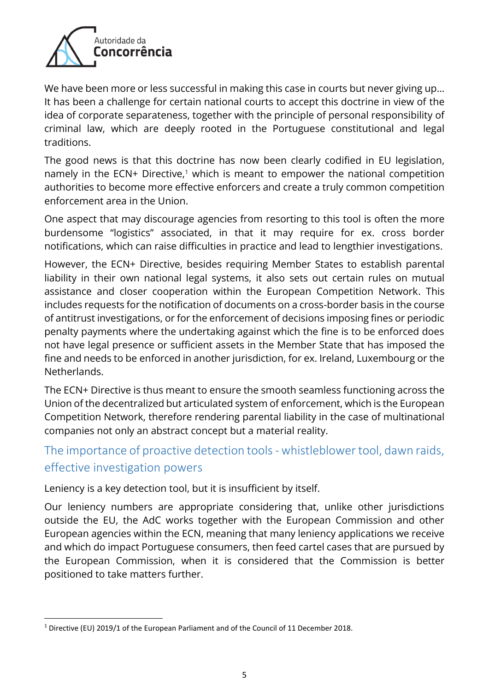

We have been more or less successful in making this case in courts but never giving up... It has been a challenge for certain national courts to accept this doctrine in view of the idea of corporate separateness, together with the principle of personal responsibility of criminal law, which are deeply rooted in the Portuguese constitutional and legal traditions.

The good news is that this doctrine has now been clearly codified in EU legislation, namely in the ECN+ Directive,<sup>1</sup> which is meant to empower the national competition authorities to become more effective enforcers and create a truly common competition enforcement area in the Union.

One aspect that may discourage agencies from resorting to this tool is often the more burdensome "logistics" associated, in that it may require for ex. cross border notifications, which can raise difficulties in practice and lead to lengthier investigations.

However, the ECN+ Directive, besides requiring Member States to establish parental liability in their own national legal systems, it also sets out certain rules on mutual assistance and closer cooperation within the European Competition Network. This includes requests for the notification of documents on a cross-border basis in the course of antitrust investigations, or for the enforcement of decisions imposing fines or periodic penalty payments where the undertaking against which the fine is to be enforced does not have legal presence or sufficient assets in the Member State that has imposed the fine and needs to be enforced in another jurisdiction, for ex. Ireland, Luxembourg or the **Netherlands** 

The ECN+ Directive is thus meant to ensure the smooth seamless functioning across the Union of the decentralized but articulated system of enforcement, which is the European Competition Network, therefore rendering parental liability in the case of multinational companies not only an abstract concept but a material reality.

### The importance of proactive detection tools- whistleblower tool, dawn raids, effective investigation powers

Leniency is a key detection tool, but it is insufficient by itself.

Our leniency numbers are appropriate considering that, unlike other jurisdictions outside the EU, the AdC works together with the European Commission and other European agencies within the ECN, meaning that many leniency applications we receive and which do impact Portuguese consumers, then feed cartel cases that are pursued by the European Commission, when it is considered that the Commission is better positioned to take matters further.

<sup>1</sup> Directive (EU) 2019/1 of the European Parliament and of the Council of 11 December 2018.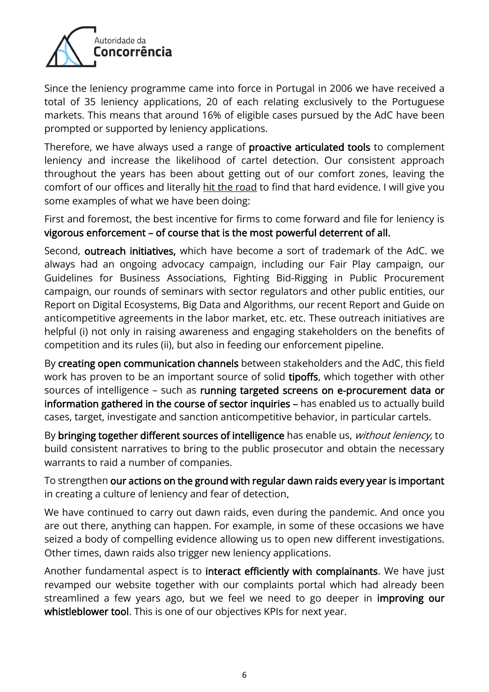

Since the leniency programme came into force in Portugal in 2006 we have received a total of 35 leniency applications, 20 of each relating exclusively to the Portuguese markets. This means that around 16% of eligible cases pursued by the AdC have been prompted or supported by leniency applications.

Therefore, we have always used a range of proactive articulated tools to complement leniency and increase the likelihood of cartel detection. Our consistent approach throughout the years has been about getting out of our comfort zones, leaving the comfort of our offices and literally hit the road to find that hard evidence. I will give you some examples of what we have been doing:

First and foremost, the best incentive for firms to come forward and file for leniency is vigorous enforcement – of course that is the most powerful deterrent of all.

Second, outreach initiatives, which have become a sort of trademark of the AdC. we always had an ongoing advocacy campaign, including our Fair Play campaign, our Guidelines for Business Associations, Fighting Bid-Rigging in Public Procurement campaign, our rounds of seminars with sector regulators and other public entities, our Report on Digital Ecosystems, Big Data and Algorithms, our recent Report and Guide on anticompetitive agreements in the labor market, etc. etc. These outreach initiatives are helpful (i) not only in raising awareness and engaging stakeholders on the benefits of competition and its rules (ii), but also in feeding our enforcement pipeline.

By creating open communication channels between stakeholders and the AdC, this field work has proven to be an important source of solid tipoffs, which together with other sources of intelligence – such as running targeted screens on e-procurement data or information gathered in the course of sector inquiries – has enabled us to actually build cases, target, investigate and sanction anticompetitive behavior, in particular cartels.

By bringing together different sources of intelligence has enable us, without leniency, to build consistent narratives to bring to the public prosecutor and obtain the necessary warrants to raid a number of companies.

To strengthen our actions on the ground with regular dawn raids every year is important in creating a culture of leniency and fear of detection.

We have continued to carry out dawn raids, even during the pandemic. And once you are out there, anything can happen. For example, in some of these occasions we have seized a body of compelling evidence allowing us to open new different investigations. Other times, dawn raids also trigger new leniency applications.

Another fundamental aspect is to interact efficiently with complainants. We have just revamped our website together with our complaints portal which had already been streamlined a few years ago, but we feel we need to go deeper in improving our whistleblower tool. This is one of our objectives KPIs for next year.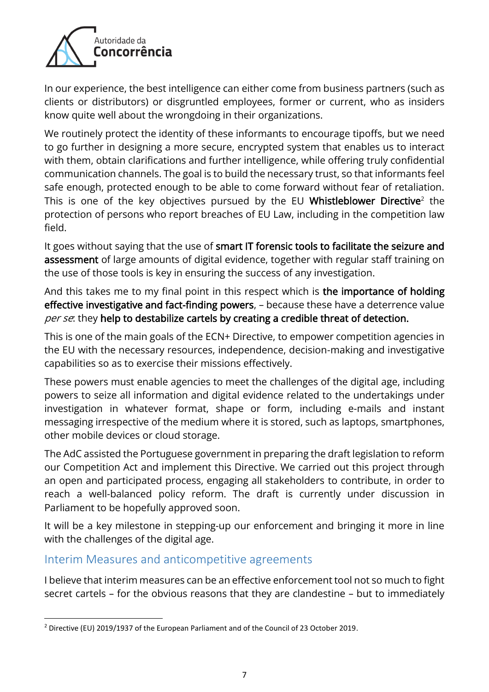

In our experience, the best intelligence can either come from business partners (such as clients or distributors) or disgruntled employees, former or current, who as insiders know quite well about the wrongdoing in their organizations.

We routinely protect the identity of these informants to encourage tipoffs, but we need to go further in designing a more secure, encrypted system that enables us to interact with them, obtain clarifications and further intelligence, while offering truly confidential communication channels. The goal is to build the necessary trust, so that informants feel safe enough, protected enough to be able to come forward without fear of retaliation. This is one of the key objectives pursued by the EU **Whistleblower Directive** $^2$  the protection of persons who report breaches of EU Law, including in the competition law field.

It goes without saying that the use of smart IT forensic tools to facilitate the seizure and assessment of large amounts of digital evidence, together with regular staff training on the use of those tools is key in ensuring the success of any investigation.

And this takes me to my final point in this respect which is the importance of holding effective investigative and fact-finding powers, – because these have a deterrence value per se: they help to destabilize cartels by creating a credible threat of detection.

This is one of the main goals of the ECN+ Directive, to empower competition agencies in the EU with the necessary resources, independence, decision-making and investigative capabilities so as to exercise their missions effectively.

These powers must enable agencies to meet the challenges of the digital age, including powers to seize all information and digital evidence related to the undertakings under investigation in whatever format, shape or form, including e-mails and instant messaging irrespective of the medium where it is stored, such as laptops, smartphones, other mobile devices or cloud storage.

The AdC assisted the Portuguese government in preparing the draft legislation to reform our Competition Act and implement this Directive. We carried out this project through an open and participated process, engaging all stakeholders to contribute, in order to reach a well-balanced policy reform. The draft is currently under discussion in Parliament to be hopefully approved soon.

It will be a key milestone in stepping-up our enforcement and bringing it more in line with the challenges of the digital age.

### Interim Measures and anticompetitive agreements

I believe that interim measures can be an effective enforcement tool not so much to fight secret cartels – for the obvious reasons that they are clandestine – but to immediately

<sup>2</sup> Directive (EU) 2019/1937 of the European Parliament and of the Council of 23 October 2019.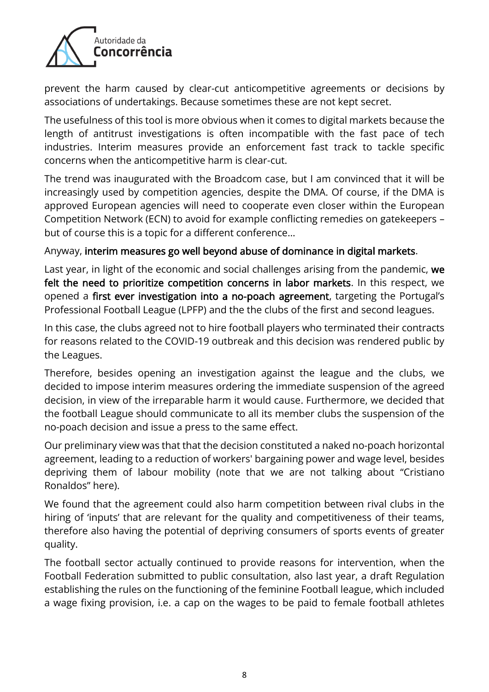

prevent the harm caused by clear-cut anticompetitive agreements or decisions by associations of undertakings. Because sometimes these are not kept secret.

The usefulness of this tool is more obvious when it comes to digital markets because the length of antitrust investigations is often incompatible with the fast pace of tech industries. Interim measures provide an enforcement fast track to tackle specific concerns when the anticompetitive harm is clear-cut.

The trend was inaugurated with the Broadcom case, but I am convinced that it will be increasingly used by competition agencies, despite the DMA. Of course, if the DMA is approved European agencies will need to cooperate even closer within the European Competition Network (ECN) to avoid for example conflicting remedies on gatekeepers – but of course this is a topic for a different conference…

#### Anyway, interim measures go well beyond abuse of dominance in digital markets.

Last year, in light of the economic and social challenges arising from the pandemic, we felt the need to prioritize competition concerns in labor markets. In this respect, we opened a first ever investigation into a no-poach agreement, targeting the Portugal's Professional Football League (LPFP) and the the clubs of the first and second leagues.

In this case, the clubs agreed not to hire football players who terminated their contracts for reasons related to the COVID-19 outbreak and this decision was rendered public by the Leagues.

Therefore, besides opening an investigation against the league and the clubs, we decided to impose interim measures ordering the immediate suspension of the agreed decision, in view of the irreparable harm it would cause. Furthermore, we decided that the football League should communicate to all its member clubs the suspension of the no-poach decision and issue a press to the same effect.

Our preliminary view was that that the decision constituted a naked no-poach horizontal agreement, leading to a reduction of workers' bargaining power and wage level, besides depriving them of labour mobility (note that we are not talking about "Cristiano Ronaldos" here).

We found that the agreement could also harm competition between rival clubs in the hiring of 'inputs' that are relevant for the quality and competitiveness of their teams, therefore also having the potential of depriving consumers of sports events of greater quality.

The football sector actually continued to provide reasons for intervention, when the Football Federation submitted to public consultation, also last year, a draft Regulation establishing the rules on the functioning of the feminine Football league, which included a wage fixing provision, i.e. a cap on the wages to be paid to female football athletes